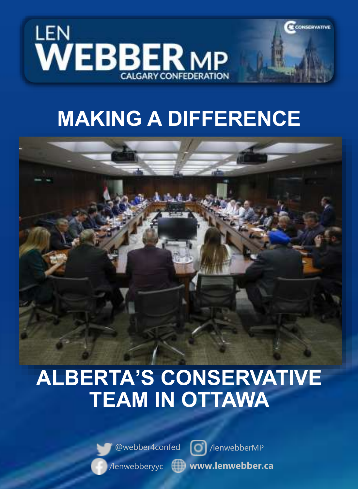

# **MAKING A DIFFERENCE**

**CONSERVATIVE** 



# **ALBERTA'S CONSERVATIVE TEAM IN OTTAWA**



@webber4confed | c | /lenwebberMP



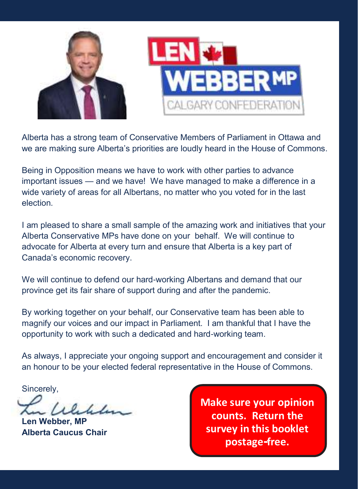

Alberta has a strong team of Conservative Members of Parliament in Ottawa and we are making sure Alberta's priorities are loudly heard in the House of Commons.

Being in Opposition means we have to work with other parties to advance important issues — and we have! We have managed to make a difference in a wide variety of areas for all Albertans, no matter who you voted for in the last election.

I am pleased to share a small sample of the amazing work and initiatives that your Alberta Conservative MPs have done on your behalf. We will continue to advocate for Alberta at every turn and ensure that Alberta is a key part of Canada's economic recovery.

We will continue to defend our hard-working Albertans and demand that our province get its fair share of support during and after the pandemic.

By working together on your behalf, our Conservative team has been able to magnify our voices and our impact in Parliament. I am thankful that I have the opportunity to work with such a dedicated and hard-working team.

As always, I appreciate your ongoing support and encouragement and consider it an honour to be your elected federal representative in the House of Commons.

Sincerely,

2

 $1$ leder

**Len Webber, MP Alberta Caucus Chair**

**Make sure your opinion counts. Return the survey in this booklet postage-free.**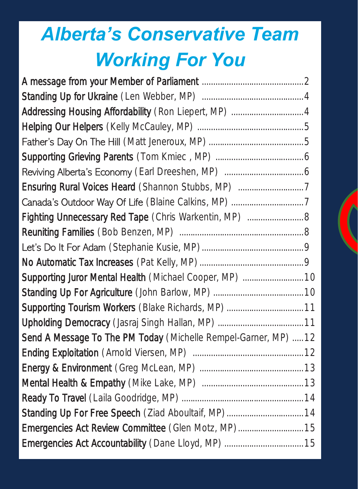# *Alberta's Conservative Team Working For You*

| Fighting Unnecessary Red Tape (Chris Warkentin, MP)  8          |
|-----------------------------------------------------------------|
|                                                                 |
|                                                                 |
|                                                                 |
| Supporting Juror Mental Health (Michael Cooper, MP)  10         |
|                                                                 |
| Supporting Tourism Workers (Blake Richards, MP)  11             |
|                                                                 |
| Send A Message To The PM Today (Michelle Rempel-Garner, MP)  12 |
|                                                                 |
|                                                                 |
|                                                                 |
|                                                                 |
| Standing Up For Free Speech (Ziad Aboultaif, MP) 14             |
| Emergencies Act Review Committee (Glen Motz, MP) 15             |
|                                                                 |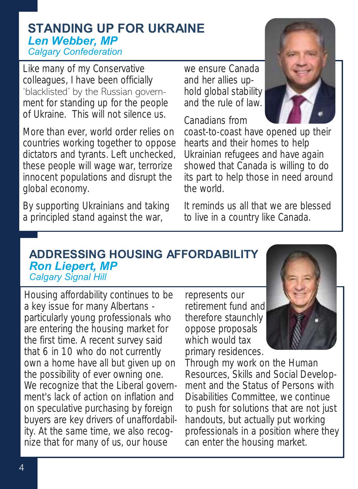## **STANDING UP FOR UKRAINE**  *Len Webber, MP Calgary Confederation*

Like many of my Conservative colleagues, I have been officially 'blacklisted' by the Russian government for standing up for the people of Ukraine. This will not silence us.

More than ever, world order relies on countries working together to oppose dictators and tyrants. Left unchecked, these people will wage war, terrorize innocent populations and disrupt the global economy.

By supporting Ukrainians and taking a principled stand against the war,

we ensure Canada and her allies uphold global stability and the rule of law.

Canadians from



coast-to-coast have opened up their hearts and their homes to help Ukrainian refugees and have again showed that Canada is willing to do its part to help those in need around the world.

It reminds us all that we are blessed to live in a country like Canada.

#### **ADDRESSING HOUSING AFFORDABILITY**  *Ron Liepert, MP Calgary Signal Hill*

Housing affordability continues to be a key issue for many Albertans particularly young professionals who are entering the housing market for the first time. A recent survey said that 6 in 10 who do not currently own a home have all but given up on the possibility of ever owning one. We recognize that the Liberal government's lack of action on inflation and on speculative purchasing by foreign buyers are key drivers of unaffordability. At the same time, we also recognize that for many of us, our house

represents our retirement fund and therefore staunchly oppose proposals which would tax primary residences.



Through my work on the Human Resources, Skills and Social Development and the Status of Persons with Disabilities Committee, we continue to push for solutions that are not just handouts, but actually put working professionals in a position where they can enter the housing market.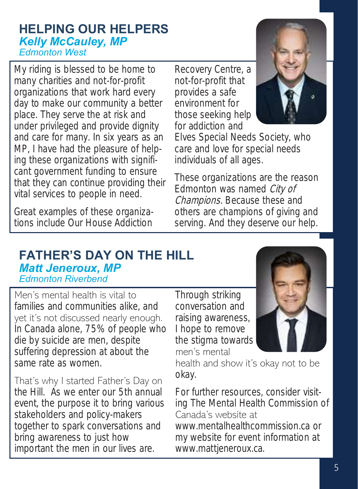#### **HELPING OUR HELPERS** *Kelly McCauley, MP Edmonton West*

My riding is blessed to be home to many charities and not-for-profit organizations that work hard every day to make our community a better place. They serve the at risk and under privileged and provide dignity and care for many. In six years as an MP, I have had the pleasure of helping these organizations with significant government funding to ensure that they can continue providing their vital services to people in need.

Great examples of these organizations include Our House Addiction

Recovery Centre, a not-for-profit that provides a safe environment for those seeking help for addiction and



Elves Special Needs Society, who care and love for special needs individuals of all ages.

These organizations are the reason Edmonton was named City of Champions. Because these and others are champions of giving and serving. And they deserve our help.

## **FATHER'S DAY ON THE HILL**  *Matt Jeneroux, MP Edmonton Riverbend*

Men's mental health is vital to families and communities alike, and yet it's not discussed nearly enough. In Canada alone, 75% of people who die by suicide are men, despite suffering depression at about the same rate as women.

That's why I started Father's Day on the Hill. As we enter our 5th annual event, the purpose it to bring various stakeholders and policy-makers together to spark conversations and bring awareness to just how important the men in our lives are.

Through striking conversation and raising awareness, I hope to remove the stigma towards men's mental



health and show it's okay not to be okay.

For further resources, consider visiting The Mental Health Commission of Canada's website at www.mentalhealthcommission.ca or my website for event information at www.mattjeneroux.ca.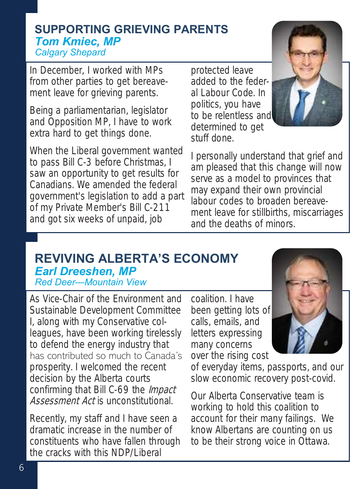#### **SUPPORTING GRIEVING PARENTS**  *Tom Kmiec, MP Calgary Shepard*

In December, I worked with MPs from other parties to get bereavement leave for grieving parents.

Being a parliamentarian, legislator and Opposition MP, I have to work extra hard to get things done.

When the Liberal government wanted to pass Bill C-3 before Christmas, I saw an opportunity to get results for Canadians. We amended the federal government's legislation to add a part of my Private Member's Bill C-211 and got six weeks of unpaid, job

protected leave added to the federal Labour Code. In politics, you have to be relentless and determined to get stuff done.



I personally understand that grief and am pleased that this change will now serve as a model to provinces that may expand their own provincial labour codes to broaden bereavement leave for stillbirths, miscarriages and the deaths of minors.

#### **REVIVING ALBERTA'S ECONOMY**  *Earl Dreeshen, MP Red Deer—Mountain View*

As Vice-Chair of the Environment and Sustainable Development Committee I, along with my Conservative colleagues, have been working tirelessly to defend the energy industry that has contributed so much to Canada's prosperity. I welcomed the recent decision by the Alberta courts confirming that Bill C-69 the *Impact* Assessment Act is unconstitutional.

Recently, my staff and I have seen a dramatic increase in the number of constituents who have fallen through the cracks with this NDP/Liberal

coalition. I have been getting lots of calls, emails, and letters expressing many concerns over the rising cost



of everyday items, passports, and our slow economic recovery post-covid.

Our Alberta Conservative team is working to hold this coalition to account for their many failings. We know Albertans are counting on us to be their strong voice in Ottawa.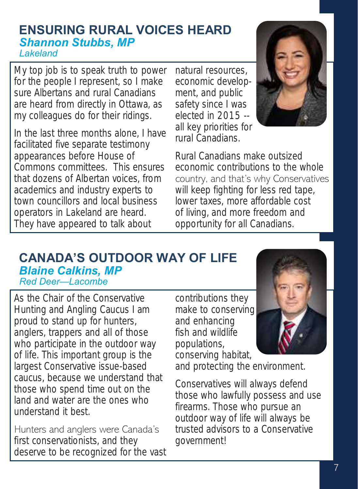#### **ENSURING RURAL VOICES HEARD**  *Shannon Stubbs, MP Lakeland*

My top job is to speak truth to power for the people I represent, so I make sure Albertans and rural Canadians are heard from directly in Ottawa, as my colleagues do for their ridings.

In the last three months alone, I have facilitated five separate testimony appearances before House of Commons committees. This ensures that dozens of Albertan voices, from academics and industry experts to town councillors and local business operators in Lakeland are heard. They have appeared to talk about

natural resources, economic development, and public safety since I was elected in 2015 - all key priorities for rural Canadians.



Rural Canadians make outsized economic contributions to the whole country, and that's why Conservatives will keep fighting for less red tape, lower taxes, more affordable cost of living, and more freedom and opportunity for all Canadians.

#### **CANADA'S OUTDOOR WAY OF LIFE** *Blaine Calkins, MP Red Deer—Lacombe*

As the Chair of the Conservative Hunting and Angling Caucus I am proud to stand up for hunters, anglers, trappers and all of those who participate in the outdoor way of life. This important group is the largest Conservative issue-based caucus, because we understand that those who spend time out on the land and water are the ones who understand it best.

Hunters and anglers were Canada's first conservationists, and they deserve to be recognized for the vast contributions they make to conserving and enhancing fish and wildlife populations, conserving habitat,



and protecting the environment.

Conservatives will always defend those who lawfully possess and use firearms. Those who pursue an outdoor way of life will always be trusted advisors to a Conservative government!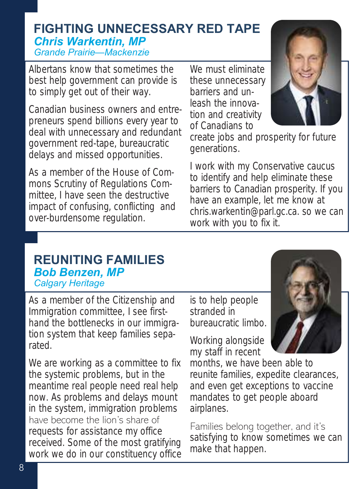# **FIGHTING UNNECESSARY RED TAPE** *Chris Warkentin, MP Grande Prairie—Mackenzie*

Albertans know that sometimes the best help government can provide is to simply get out of their way.

Canadian business owners and entrepreneurs spend billions every year to deal with unnecessary and redundant government red-tape, bureaucratic delays and missed opportunities.

As a member of the House of Commons Scrutiny of Regulations Committee, I have seen the destructive impact of confusing, conflicting and over-burdensome regulation.

We must eliminate these unnecessary barriers and unleash the innovation and creativity of Canadians to



create jobs and prosperity for future generations.

I work with my Conservative caucus to identify and help eliminate these barriers to Canadian prosperity. If you have an example, let me know at chris.warkentin@parl.gc.ca. so we can work with you to fix it.

## **REUNITING FAMILIES** *Bob Benzen, MP Calgary Heritage*

As a member of the Citizenship and Immigration committee, I see firsthand the bottlenecks in our immigration system that keep families separated.

We are working as a committee to fix the systemic problems, but in the meantime real people need real help now. As problems and delays mount in the system, immigration problems have become the lion's share of requests for assistance my office received. Some of the most gratifying work we do in our constituency office is to help people stranded in bureaucratic limbo.

Working alongside my staff in recent

months, we have been able to reunite families, expedite clearances, and even get exceptions to vaccine mandates to get people aboard airplanes.

Families belong together, and it's satisfying to know sometimes we can make that happen.

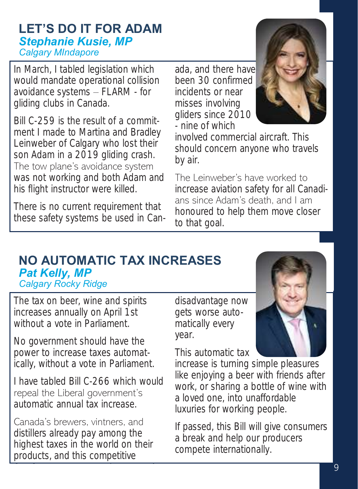### **LET'S DO IT FOR ADAM** *Stephanie Kusie, MP Calgary MIndapore*

In March, I tabled legislation which would mandate operational collision avoidance systems – FLARM - for gliding clubs in Canada.

Bill C-259 is the result of a commitment I made to Martina and Bradley Leinweber of Calgary who lost their son Adam in a 2019 gliding crash. The tow plane's avoidance system was not working and both Adam and his flight instructor were killed.

There is no current requirement that these safety systems be used in Canada, and there have been 30 confirmed incidents or near misses involving gliders since 2010 - nine of which



involved commercial aircraft. This should concern anyone who travels by air.

The Leinweber's have worked to increase aviation safety for all Canadians since Adam's death, and I am honoured to help them move closer to that goal.

## **PROTECTING BUSINESSES & JOBS NO AUTOMATIC TAX INCREASES** *Stephanie Kusie, MP Pat Kelly, MP Calgary MIndapore Calgary Rocky Ridge*

The tax on beer, wine and spirits increases annually on April 1st without a vote in Parliament.

government in mediately, and to the contract of the contract of the contract of the contract of the contract o No government should have the power to increase taxes automatically, without a vote in Parliament.

I have tabled Bill C-266 which would repeal the Liberal government's automatic annual tax increase.

Canada's brewers, vintners, and distillers already pay among the highest taxes in the world on their products, and this competitive

disadvantage now gets worse automatically every **the contract of the matically every** problems with the Commercial Rent year.

This automatic tax

have a mortgated hard to have revised some revised some revised some revised some revised some revised some re increase is turning simple pleasures like enjoying a beer with friends after work, or sharing a bottle of wine with a loved one, into unaffordable luxuries for working people.

If passed, this Bill will give consumers a break and help our producers compete internationally.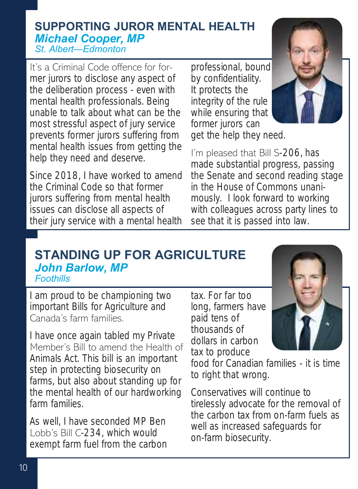#### **SUPPORTING JUROR MENTAL HEALTH** *Michael Cooper, MP St. Albert—Edmonton*

It's a Criminal Code offence for former jurors to disclose any aspect of the deliberation process - even with mental health professionals. Being unable to talk about what can be the most stressful aspect of jury service prevents former jurors suffering from mental health issues from getting the help they need and deserve.

Since 2018, I have worked to amend the Criminal Code so that former jurors suffering from mental health issues can disclose all aspects of their jury service with a mental health professional, bound by confidentiality. It protects the integrity of the rule while ensuring that former jurors can get the help they need.



I'm pleased that Bill S-206, has made substantial progress, passing the Senate and second reading stage in the House of Commons unanimously. I look forward to working with colleagues across party lines to see that it is passed into law.

#### **STANDING UP FOR AGRICULTURE** *John Barlow, MP Foothills*

I am proud to be championing two important Bills for Agriculture and Canada's farm families.

I have once again tabled my Private Member's Bill to amend the Health of Animals Act. This bill is an important step in protecting biosecurity on farms, but also about standing up for the mental health of our hardworking farm families.

As well, I have seconded MP Ben Lobb's Bill C-234, which would exempt farm fuel from the carbon tax. For far too long, farmers have paid tens of thousands of dollars in carbon tax to produce

food for Canadian families - it is time to right that wrong.

Conservatives will continue to tirelessly advocate for the removal of the carbon tax from on-farm fuels as well as increased safeguards for on-farm biosecurity.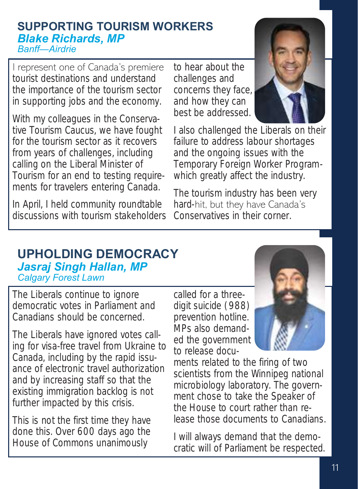#### **SUPPORTING TOURISM WORKERS** *Blake Richards, MP Banff—Airdrie*

I represent one of Canada's premiere tourist destinations and understand the importance of the tourism sector in supporting jobs and the economy.

With my colleagues in the Conservative Tourism Caucus, we have fought for the tourism sector as it recovers from years of challenges, including calling on the Liberal Minister of Tourism for an end to testing requirements for travelers entering Canada.

In April, I held community roundtable discussions with tourism stakeholders to hear about the challenges and concerns they face, and how they can best be addressed.



I also challenged the Liberals on their failure to address labour shortages and the ongoing issues with the Temporary Foreign Worker Programwhich greatly affect the industry.

The tourism industry has been very hard-hit, but they have Canada's Conservatives in their corner.

#### **UPHOLDING DEMOCRACY** *Jasraj Singh Hallan, MP Calgary Forest Lawn*

The Liberals continue to ignore democratic votes in Parliament and Canadians should be concerned.

The Liberals have ignored votes calling for visa-free travel from Ukraine to Canada, including by the rapid issuance of electronic travel authorization and by increasing staff so that the existing immigration backlog is not further impacted by this crisis.

This is not the first time they have done this. Over 600 days ago the House of Commons unanimously

called for a threedigit suicide (988) prevention hotline. MPs also demanded the government to release docu-



ments related to the firing of two scientists from the Winnipeg national microbiology laboratory. The government chose to take the Speaker of the House to court rather than release those documents to Canadians.

I will always demand that the democratic will of Parliament be respected.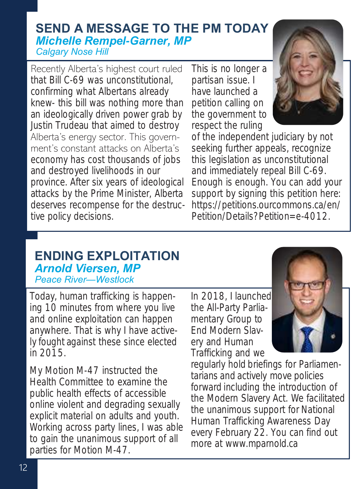## **SEND A MESSAGE TO THE PM TODAY** *Michelle Rempel-Garner, MP Calgary Nose Hill*

Recently Alberta's highest court ruled that Bill C-69 was unconstitutional, confirming what Albertans already knew- this bill was nothing more than an ideologically driven power grab by Justin Trudeau that aimed to destroy Alberta's energy sector. This government's constant attacks on Alberta's economy has cost thousands of jobs and destroyed livelihoods in our province. After six years of ideological attacks by the Prime Minister, Alberta deserves recompense for the destructive policy decisions.

This is no longer a partisan issue. I have launched a petition calling on the government to respect the ruling



of the independent judiciary by not seeking further appeals, recognize this legislation as unconstitutional and immediately repeal Bill C-69. Enough is enough. You can add your support by signing this petition here: https://petitions.ourcommons.ca/en/ Petition/Details?Petition=e-4012.

#### **ENDING EXPLOITATION** *Arnold Viersen, MP Peace River—Westlock*

Today, human trafficking is happening 10 minutes from where you live and online exploitation can happen anywhere. That is why I have actively fought against these since elected in 2015.

My Motion M-47 instructed the Health Committee to examine the public health effects of accessible online violent and degrading sexually explicit material on adults and youth. Working across party lines, I was able to gain the unanimous support of all parties for Motion M-47.

In 2018, I launched the All-Party Parliamentary Group to End Modern Slavery and Human Trafficking and we



regularly hold briefings for Parliamentarians and actively move policies forward including the introduction of the Modern Slavery Act. We facilitated the unanimous support for National Human Trafficking Awareness Day every February 22. You can find out more at www.mparnold.ca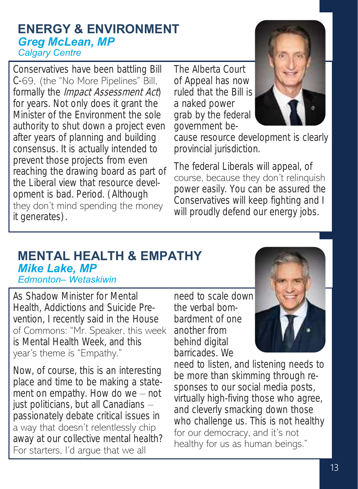#### **ENERGY & ENVIRONMENT**  *Greg McLean, MP Calgary Centre*

Conservatives have been battling Bill C-69, (the "No More Pipelines" Bill, formally the *Impact Assessment Act*) for years. Not only does it grant the Minister of the Environment the sole authority to shut down a project even after years of planning and building consensus. It is actually intended to prevent those projects from even reaching the drawing board as part of the Liberal view that resource development is bad. Period. (Although they don't mind spending the money it generates).

The Alberta Court of Appeal has now ruled that the Bill is a naked power grab by the federal government be-



cause resource development is clearly provincial jurisdiction.

The federal Liberals will appeal, of course, because they don't relinquish power easily. You can be assured the Conservatives will keep fighting and I will proudly defend our energy jobs.

#### **MENTAL HEALTH & EMPATHY** *Mike Lake, MP Edmonton– Wetaskiwin*

As Shadow Minister for Mental Health, Addictions and Suicide Prevention, I recently said in the House of Commons: "Mr. Speaker, this week is Mental Health Week, and this year's theme is "Empathy."

Now, of course, this is an interesting place and time to be making a statement on empathy. How do we – not just politicians, but all Canadians – passionately debate critical issues in a way that doesn't relentlessly chip away at our collective mental health? For starters, I'd argue that we all

need to scale down the verbal bombardment of one another from behind digital barricades. We



need to listen, and listening needs to be more than skimming through responses to our social media posts, virtually high-fiving those who agree, and cleverly smacking down those who challenge us. This is not healthy for our democracy, and it's not healthy for us as human beings."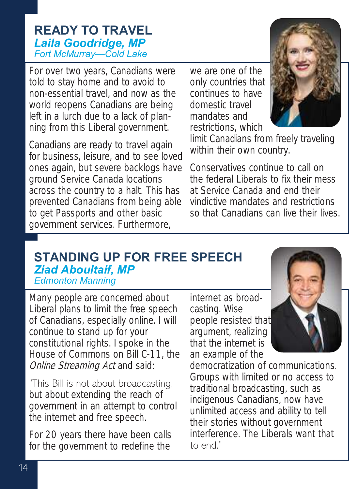## **READY TO TRAVEL**  *Laila Goodridge, MP Fort McMurray—Cold Lake*

For over two years, Canadians were told to stay home and to avoid to non-essential travel, and now as the world reopens Canadians are being left in a lurch due to a lack of planning from this Liberal government.

Canadians are ready to travel again for business, leisure, and to see loved ones again, but severe backlogs have ground Service Canada locations across the country to a halt. This has prevented Canadians from being able to get Passports and other basic government services. Furthermore,

we are one of the only countries that continues to have domestic travel mandates and restrictions, which



limit Canadians from freely traveling within their own country.

Conservatives continue to call on the federal Liberals to fix their mess at Service Canada and end their vindictive mandates and restrictions so that Canadians can live their lives.

#### **STANDING UP FOR FREE SPEECH**  *Ziad Aboultaif, MP Edmonton Manning*

Many people are concerned about Liberal plans to limit the free speech of Canadians, especially online. I will continue to stand up for your constitutional rights. I spoke in the House of Commons on Bill C-11, the Online Streaming Act and said:

"This Bill is not about broadcasting, but about extending the reach of government in an attempt to control the internet and free speech.

For 20 years there have been calls for the government to redefine the

internet as broadcasting. Wise people resisted that argument, realizing that the internet is an example of the



democratization of communications. Groups with limited or no access to traditional broadcasting, such as indigenous Canadians, now have unlimited access and ability to tell their stories without government interference. The Liberals want that to end."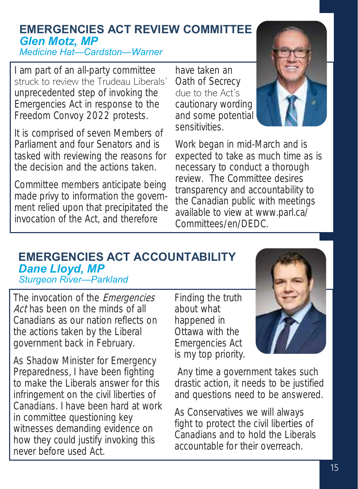# **EMERGENCIES ACT REVIEW COMMITTEE**  *Glen Motz, MP*

*Medicine Hat—Cardston—Warner*

I am part of an all-party committee struck to review the Trudeau Liberals' unprecedented step of invoking the Emergencies Act in response to the Freedom Convoy 2022 protests.

It is comprised of seven Members of Parliament and four Senators and is tasked with reviewing the reasons for the decision and the actions taken.

Committee members anticipate being made privy to information the government relied upon that precipitated the invocation of the Act, and therefore

have taken an Oath of Secrecy due to the Act's cautionary wording and some potential sensitivities.



Work began in mid-March and is expected to take as much time as is necessary to conduct a thorough review. The Committee desires transparency and accountability to the Canadian public with meetings available to view at www.parl.ca/ Committees/en/DEDC.

#### **EMERGENCIES ACT ACCOUNTABILITY**  *Dane Lloyd, MP Sturgeon River—Parkland*

The invocation of the *Emergencies* Act has been on the minds of all Canadians as our nation reflects on the actions taken by the Liberal government back in February.

As Shadow Minister for Emergency Preparedness, I have been fighting to make the Liberals answer for this infringement on the civil liberties of Canadians. I have been hard at work in committee questioning key witnesses demanding evidence on how they could justify invoking this never before used Act.

Finding the truth about what happened in Ottawa with the Emergencies Act is my top priority.



Any time a government takes such drastic action, it needs to be justified and questions need to be answered.

As Conservatives we will always fight to protect the civil liberties of Canadians and to hold the Liberals accountable for their overreach.